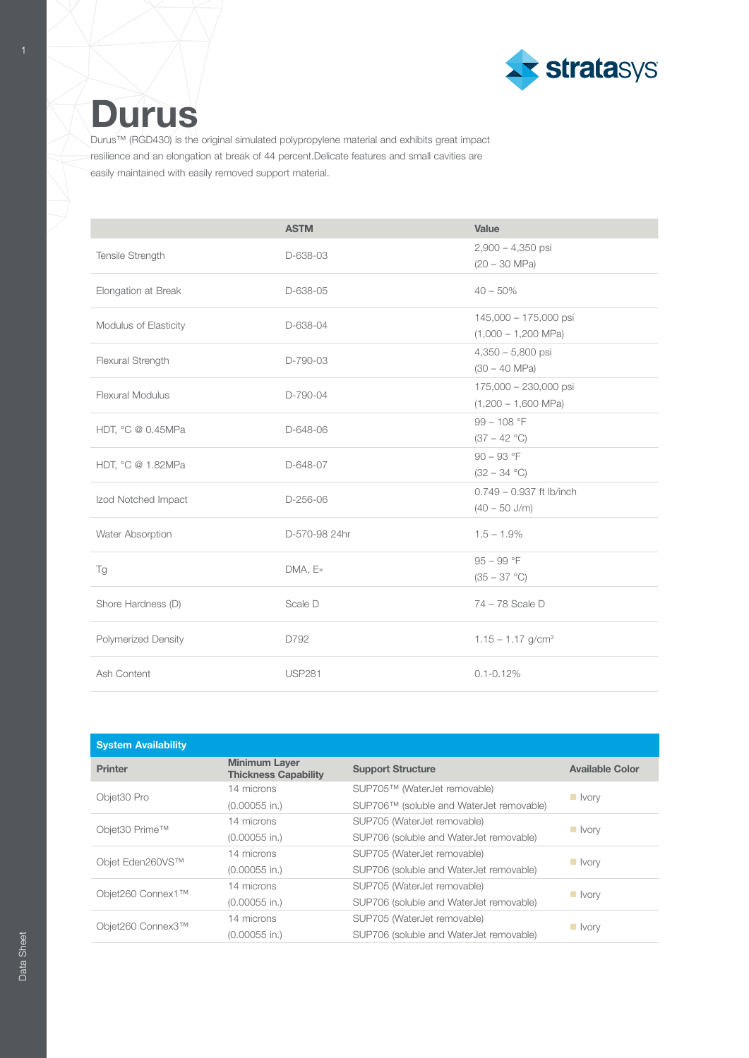

## **Durus**

Durus™ (RGD430) is the original simulated polypropylene material and exhibits great impact resilience and an elongation at break of 44 percent.Delicate features and small cavities are easily maintained with easily removed support material.

|                         | <b>ASTM</b>   | Value                           |
|-------------------------|---------------|---------------------------------|
| Tensile Strength        | D-638-03      | $2,900 - 4,350$ psi             |
|                         |               | $(20 - 30$ MPa)                 |
| Elongation at Break     | D-638-05      | $40 - 50\%$                     |
| Modulus of Elasticity   | D-638-04      | 145,000 - 175,000 psi           |
|                         |               | $(1,000 - 1,200 \text{ MPa})$   |
| Flexural Strength       | D-790-03      | $4,350 - 5,800$ psi             |
|                         |               | $(30 - 40$ MPa)                 |
| <b>Flexural Modulus</b> | D-790-04      | 175,000 - 230,000 psi           |
|                         |               | $(1,200 - 1,600 \text{ MPa})$   |
| HDT, °C @ 0.45MPa       | D-648-06      | $99 - 108 °F$                   |
|                         |               | $(37 - 42 °C)$                  |
| HDT, °C @ 1.82MPa       | D-648-07      | $90 - 93$ °F                    |
|                         |               | $(32 - 34 °C)$                  |
| Izod Notched Impact     | $D-256-06$    | $0.749 - 0.937$ ft lb/inch      |
|                         |               | $(40 - 50$ J/m)                 |
| Water Absorption        | D-570-98 24hr | $1.5 - 1.9\%$                   |
|                         |               | $95 - 99$ °F                    |
| Tg                      | DMA, E»       | $(35 - 37 °C)$                  |
| Shore Hardness (D)      | Scale D       | 74 - 78 Scale D                 |
| Polymerized Density     | D792          | $1.15 - 1.17$ g/cm <sup>3</sup> |
| Ash Content             | <b>USP281</b> | $0.1 - 0.12\%$                  |

| <b>System Availability</b> |                                                     |                                          |                        |  |
|----------------------------|-----------------------------------------------------|------------------------------------------|------------------------|--|
| <b>Printer</b>             | <b>Minimum Layer</b><br><b>Thickness Capability</b> | <b>Support Structure</b>                 | <b>Available Color</b> |  |
| Objet30 Pro                | 14 microns                                          | SUP705™ (WaterJet removable)             | $\blacksquare$ vorv    |  |
|                            | $(0.00055$ in.)                                     | SUP706™ (soluble and WaterJet removable) |                        |  |
| Objet30 Prime™             | 14 microns                                          | SUP705 (WaterJet removable)              | ll Ivory               |  |
|                            | $(0.00055$ in.)                                     | SUP706 (soluble and WaterJet removable)  |                        |  |
| Objet Eden260VS™           | 14 microns                                          | SUP705 (WaterJet removable)              |                        |  |
|                            | $(0.00055$ in.)                                     | SUP706 (soluble and WaterJet removable)  | $\blacksquare$ vorv    |  |
| Objet260 Connex1™          | 14 microns                                          | SUP705 (WaterJet removable)              |                        |  |
|                            | $(0.00055$ in.)                                     | SUP706 (soluble and WaterJet removable)  | $\blacksquare$ Ivory   |  |
| Objet260 Connex3™          | 14 microns                                          | SUP705 (WaterJet removable)              |                        |  |
|                            | $(0.00055$ in.)                                     | SUP706 (soluble and WaterJet removable)  | ll Ivory               |  |